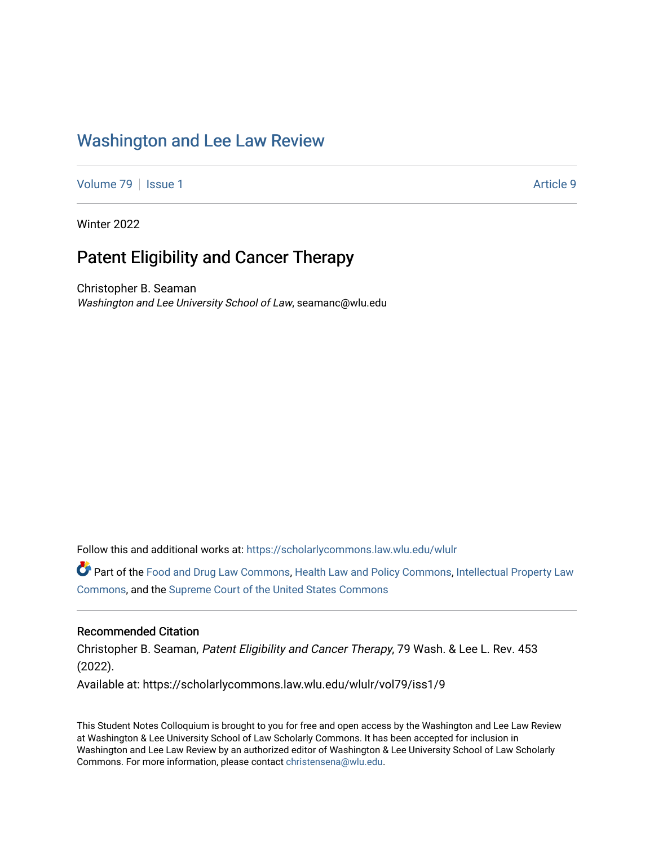## [Washington and Lee Law Review](https://scholarlycommons.law.wlu.edu/wlulr)

[Volume 79](https://scholarlycommons.law.wlu.edu/wlulr/vol79) | [Issue 1](https://scholarlycommons.law.wlu.edu/wlulr/vol79/iss1) Article 9

Winter 2022

## Patent Eligibility and Cancer Therapy

Christopher B. Seaman Washington and Lee University School of Law, seamanc@wlu.edu

Follow this and additional works at: [https://scholarlycommons.law.wlu.edu/wlulr](https://scholarlycommons.law.wlu.edu/wlulr?utm_source=scholarlycommons.law.wlu.edu%2Fwlulr%2Fvol79%2Fiss1%2F9&utm_medium=PDF&utm_campaign=PDFCoverPages) 

Part of the [Food and Drug Law Commons,](http://network.bepress.com/hgg/discipline/844?utm_source=scholarlycommons.law.wlu.edu%2Fwlulr%2Fvol79%2Fiss1%2F9&utm_medium=PDF&utm_campaign=PDFCoverPages) [Health Law and Policy Commons,](http://network.bepress.com/hgg/discipline/901?utm_source=scholarlycommons.law.wlu.edu%2Fwlulr%2Fvol79%2Fiss1%2F9&utm_medium=PDF&utm_campaign=PDFCoverPages) [Intellectual Property Law](http://network.bepress.com/hgg/discipline/896?utm_source=scholarlycommons.law.wlu.edu%2Fwlulr%2Fvol79%2Fiss1%2F9&utm_medium=PDF&utm_campaign=PDFCoverPages) [Commons](http://network.bepress.com/hgg/discipline/896?utm_source=scholarlycommons.law.wlu.edu%2Fwlulr%2Fvol79%2Fiss1%2F9&utm_medium=PDF&utm_campaign=PDFCoverPages), and the [Supreme Court of the United States Commons](http://network.bepress.com/hgg/discipline/1350?utm_source=scholarlycommons.law.wlu.edu%2Fwlulr%2Fvol79%2Fiss1%2F9&utm_medium=PDF&utm_campaign=PDFCoverPages) 

#### Recommended Citation

Christopher B. Seaman, Patent Eligibility and Cancer Therapy, 79 Wash. & Lee L. Rev. 453 (2022). Available at: https://scholarlycommons.law.wlu.edu/wlulr/vol79/iss1/9

This Student Notes Colloquium is brought to you for free and open access by the Washington and Lee Law Review at Washington & Lee University School of Law Scholarly Commons. It has been accepted for inclusion in Washington and Lee Law Review by an authorized editor of Washington & Lee University School of Law Scholarly Commons. For more information, please contact [christensena@wlu.edu.](mailto:christensena@wlu.edu)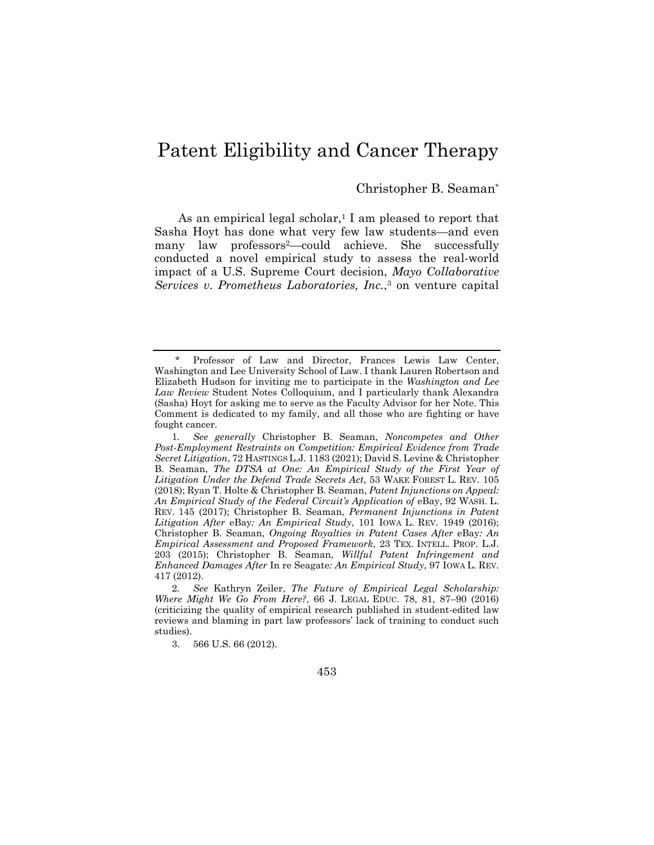# Patent Eligibility and Cancer Therapy

### Christopher B. Seaman\*

As an empirical legal scholar,<sup>1</sup> I am pleased to report that Sasha Hoyt has done what very few law students—and even many law professors2—could achieve. She successfully conducted a novel empirical study to assess the real-world impact of a U.S. Supreme Court decision, *Mayo Collaborative Services v*. *Prometheus Laboratories, Inc.*,3 on venture capital

Professor of Law and Director, Frances Lewis Law Center, Washington and Lee University School of Law. I thank Lauren Robertson and Elizabeth Hudson for inviting me to participate in the *Washington and Lee Law Review* Student Notes Colloquium, and I particularly thank Alexandra (Sasha) Hoyt for asking me to serve as the Faculty Advisor for her Note. This Comment is dedicated to my family, and all those who are fighting or have fought cancer.

<sup>1</sup>*. See generally* Christopher B. Seaman, *Noncompetes and Other Post-Employment Restraints on Competition: Empirical Evidence from Trade Secret Litigation*, 72 HASTINGS L.J. 1183 (2021); David S. Levine & Christopher B. Seaman, *The DTSA at One: An Empirical Study of the First Year of Litigation Under the Defend Trade Secrets Act*, 53 WAKE FOREST L. REV. 105 (2018); Ryan T. Holte & Christopher B. Seaman, *Patent Injunctions on Appeal:*  An Empirical Study of the Federal Circuit's Application of eBay, 92 WASH. L. REV. 145 (2017); Christopher B. Seaman, *Permanent Injunctions in Patent Litigation After* eBay*: An Empirical Study*, 101 IOWA L. REV. 1949 (2016); Christopher B. Seaman, *Ongoing Royalties in Patent Cases After* eBay*: An Empirical Assessment and Proposed Framework*, 23 TEX. INTELL. PROP. L.J. 203 (2015); Christopher B. Seaman, *Willful Patent Infringement and Enhanced Damages After* In re Seagate*: An Empirical Study*, 97 IOWA L. REV. 417 (2012).

<sup>2</sup>*. See* Kathryn Zeiler, *The Future of Empirical Legal Scholarship: Where Might We Go From Here?*, 66 J. LEGAL EDUC. 78, 81, 87–90 (2016) (criticizing the quality of empirical research published in student-edited law reviews and blaming in part law professors' lack of training to conduct such studies).

 <sup>3. 566</sup> U.S. 66 (2012).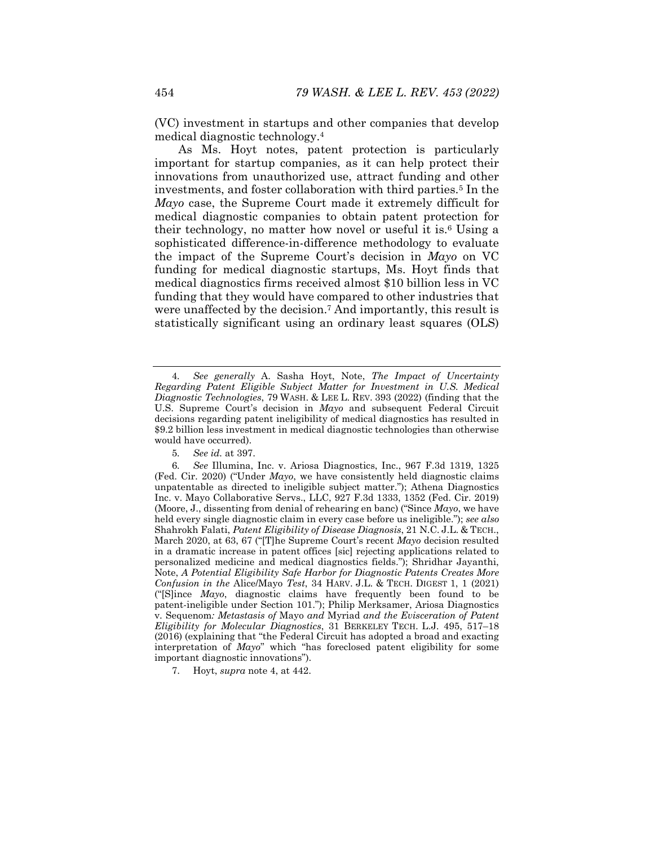(VC) investment in startups and other companies that develop medical diagnostic technology.4

As Ms. Hoyt notes, patent protection is particularly important for startup companies, as it can help protect their innovations from unauthorized use, attract funding and other investments, and foster collaboration with third parties.5 In the *Mayo* case, the Supreme Court made it extremely difficult for medical diagnostic companies to obtain patent protection for their technology, no matter how novel or useful it is.6 Using a sophisticated difference-in-difference methodology to evaluate the impact of the Supreme Court's decision in *Mayo* on VC funding for medical diagnostic startups, Ms. Hoyt finds that medical diagnostics firms received almost \$10 billion less in VC funding that they would have compared to other industries that were unaffected by the decision.7 And importantly, this result is statistically significant using an ordinary least squares (OLS)

5*. See id.* at 397.

<sup>4</sup>*. See generally* A. Sasha Hoyt, Note, *The Impact of Uncertainty Regarding Patent Eligible Subject Matter for Investment in U.S. Medical Diagnostic Technologies*, 79 WASH. & LEE L. REV. 393 (2022) (finding that the U.S. Supreme Court's decision in *Mayo* and subsequent Federal Circuit decisions regarding patent ineligibility of medical diagnostics has resulted in \$9.2 billion less investment in medical diagnostic technologies than otherwise would have occurred).

<sup>6</sup>*. See* Illumina, Inc. v. Ariosa Diagnostics, Inc., 967 F.3d 1319, 1325 (Fed. Cir. 2020) ("Under *Mayo*, we have consistently held diagnostic claims unpatentable as directed to ineligible subject matter."); Athena Diagnostics Inc. v. Mayo Collaborative Servs., LLC, 927 F.3d 1333, 1352 (Fed. Cir. 2019) (Moore, J., dissenting from denial of rehearing en banc) ("Since *Mayo*, we have held every single diagnostic claim in every case before us ineligible."); *see also*  Shahrokh Falati, *Patent Eligibility of Disease Diagnosis*, 21 N.C. J.L. & TECH., March 2020, at 63, 67 ("[T]he Supreme Court's recent *Mayo* decision resulted in a dramatic increase in patent offices [sic] rejecting applications related to personalized medicine and medical diagnostics fields."); Shridhar Jayanthi, Note, *A Potential Eligibility Safe Harbor for Diagnostic Patents Creates More Confusion in the* Alice/Mayo *Test*, 34 HARV. J.L. & TECH. DIGEST 1, 1 (2021) ("[S]ince *Mayo*, diagnostic claims have frequently been found to be patent-ineligible under Section 101."); Philip Merksamer, Ariosa Diagnostics v. Sequenom*: Metastasis of* Mayo *and* Myriad *and the Evisceration of Patent Eligibility for Molecular Diagnostics*, 31 BERKELEY TECH. L.J. 495, 517–18 (2016) (explaining that "the Federal Circuit has adopted a broad and exacting interpretation of *Mayo*" which "has foreclosed patent eligibility for some important diagnostic innovations").

 <sup>7.</sup> Hoyt, *supra* note 4, at 442.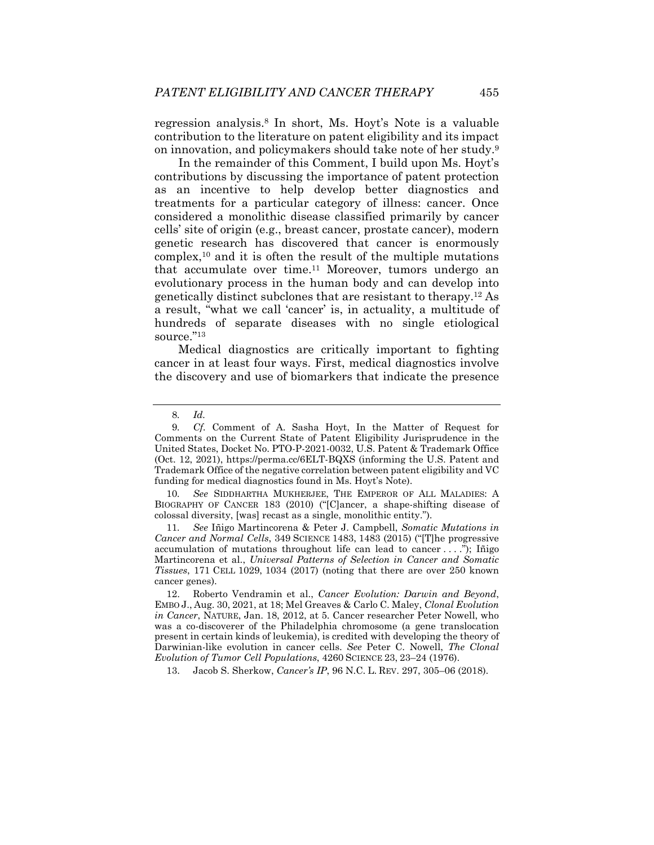regression analysis.8 In short, Ms. Hoyt's Note is a valuable contribution to the literature on patent eligibility and its impact on innovation, and policymakers should take note of her study.9

In the remainder of this Comment, I build upon Ms. Hoyt's contributions by discussing the importance of patent protection as an incentive to help develop better diagnostics and treatments for a particular category of illness: cancer. Once considered a monolithic disease classified primarily by cancer cells' site of origin (e.g., breast cancer, prostate cancer), modern genetic research has discovered that cancer is enormously complex,10 and it is often the result of the multiple mutations that accumulate over time.<sup>11</sup> Moreover, tumors undergo an evolutionary process in the human body and can develop into genetically distinct subclones that are resistant to therapy.12 As a result, "what we call 'cancer' is, in actuality, a multitude of hundreds of separate diseases with no single etiological source."13

Medical diagnostics are critically important to fighting cancer in at least four ways. First, medical diagnostics involve the discovery and use of biomarkers that indicate the presence

10*. See* SIDDHARTHA MUKHERJEE, THE EMPEROR OF ALL MALADIES: A BIOGRAPHY OF CANCER 183 (2010) ("[C]ancer, a shape-shifting disease of colossal diversity, [was] recast as a single, monolithic entity.").

11*. See* Iñigo Martincorena & Peter J. Campbell, *Somatic Mutations in Cancer and Normal Cells*, 349 SCIENCE 1483, 1483 (2015) ("[T]he progressive accumulation of mutations throughout life can lead to cancer  $\dots$ . . ..."); Intigo Martincorena et al., *Universal Patterns of Selection in Cancer and Somatic Tissues*, 171 CELL 1029, 1034 (2017) (noting that there are over 250 known cancer genes).

13. Jacob S. Sherkow, *Cancer's IP*, 96 N.C. L. REV. 297, 305–06 (2018).

<sup>8</sup>*. Id.*

<sup>9</sup>*. Cf.* Comment of A. Sasha Hoyt, In the Matter of Request for Comments on the Current State of Patent Eligibility Jurisprudence in the United States, Docket No. PTO-P-2021-0032, U.S. Patent & Trademark Office (Oct. 12, 2021), https://perma.cc/6ELT-BQXS (informing the U.S. Patent and Trademark Office of the negative correlation between patent eligibility and VC funding for medical diagnostics found in Ms. Hoyt's Note).

 <sup>12.</sup> Roberto Vendramin et al., *Cancer Evolution: Darwin and Beyond*, EMBO J., Aug. 30, 2021, at 18; Mel Greaves & Carlo C. Maley, *Clonal Evolution in Cancer*, NATURE, Jan. 18, 2012, at 5. Cancer researcher Peter Nowell, who was a co-discoverer of the Philadelphia chromosome (a gene translocation present in certain kinds of leukemia), is credited with developing the theory of Darwinian-like evolution in cancer cells. *See* Peter C. Nowell, *The Clonal Evolution of Tumor Cell Populations*, 4260 SCIENCE 23, 23–24 (1976).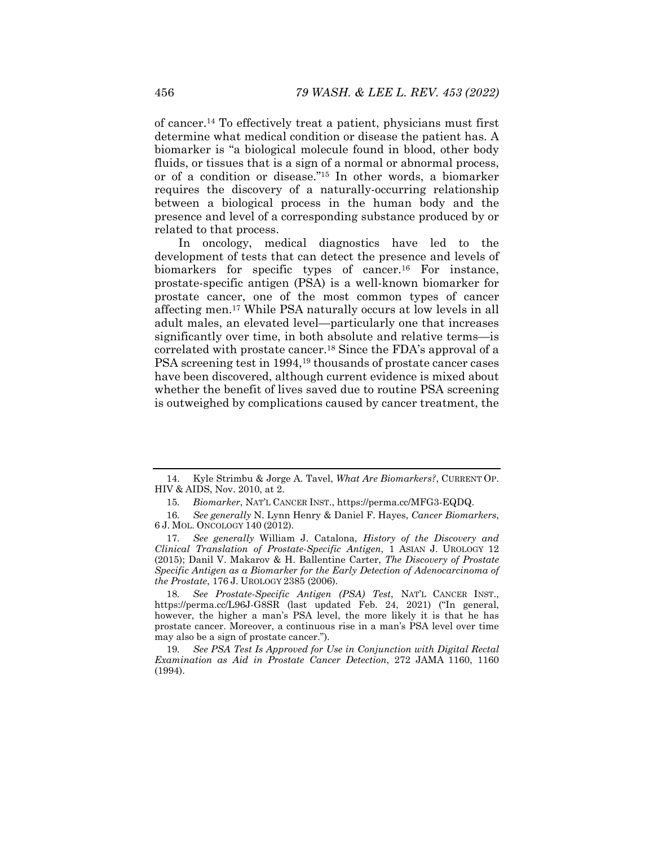of cancer.14 To effectively treat a patient, physicians must first determine what medical condition or disease the patient has. A biomarker is "a biological molecule found in blood, other body fluids, or tissues that is a sign of a normal or abnormal process, or of a condition or disease."15 In other words, a biomarker requires the discovery of a naturally-occurring relationship between a biological process in the human body and the presence and level of a corresponding substance produced by or related to that process.

In oncology, medical diagnostics have led to the development of tests that can detect the presence and levels of biomarkers for specific types of cancer.<sup>16</sup> For instance, prostate-specific antigen (PSA) is a well-known biomarker for prostate cancer, one of the most common types of cancer affecting men.17 While PSA naturally occurs at low levels in all adult males, an elevated level—particularly one that increases significantly over time, in both absolute and relative terms—is correlated with prostate cancer.18 Since the FDA's approval of a PSA screening test in 1994,<sup>19</sup> thousands of prostate cancer cases have been discovered, although current evidence is mixed about whether the benefit of lives saved due to routine PSA screening is outweighed by complications caused by cancer treatment, the

18*. See Prostate-Specific Antigen (PSA) Test*, NAT'L CANCER INST., https://perma.cc/L96J-G8SR (last updated Feb. 24, 2021) ("In general, however, the higher a man's PSA level, the more likely it is that he has prostate cancer. Moreover, a continuous rise in a man's PSA level over time may also be a sign of prostate cancer.").

 <sup>14.</sup> Kyle Strimbu & Jorge A. Tavel, *What Are Biomarkers?*, CURRENT OP. HIV & AIDS, Nov. 2010, at 2.

<sup>15</sup>*. Biomarker*, NAT'L CANCER INST., https://perma.cc/MFG3-EQDQ.

<sup>16</sup>*. See generally* N. Lynn Henry & Daniel F. Hayes, *Cancer Biomarkers*, 6 J. MOL. ONCOLOGY 140 (2012).

<sup>17</sup>*. See generally* William J. Catalona, *History of the Discovery and Clinical Translation of Prostate-Specific Antigen*, 1 ASIAN J. UROLOGY 12 (2015); Danil V. Makarov & H. Ballentine Carter, *The Discovery of Prostate Specific Antigen as a Biomarker for the Early Detection of Adenocarcinoma of the Prostate*, 176 J. UROLOGY 2385 (2006).

<sup>19</sup>*. See PSA Test Is Approved for Use in Conjunction with Digital Rectal Examination as Aid in Prostate Cancer Detection*, 272 JAMA 1160, 1160 (1994).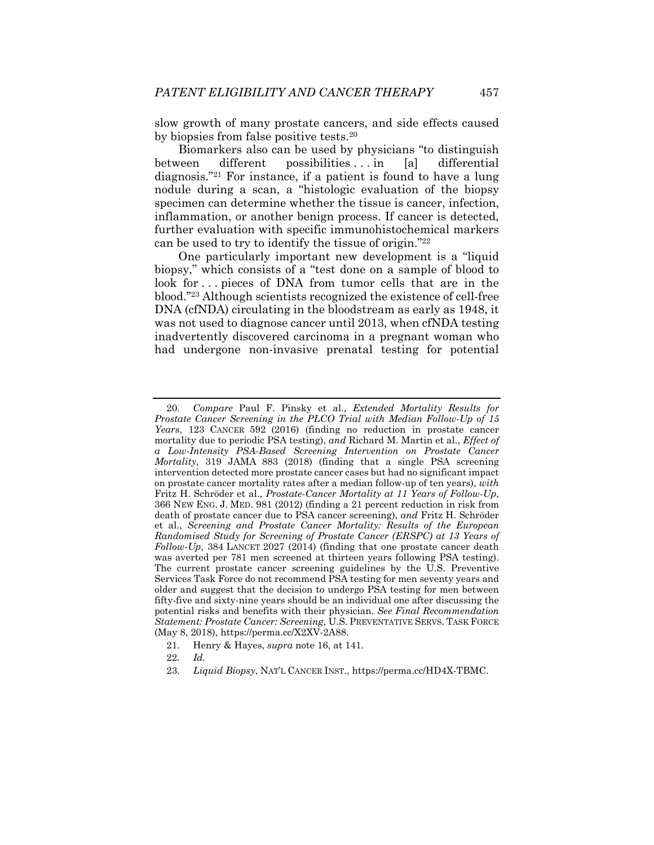slow growth of many prostate cancers, and side effects caused by biopsies from false positive tests.20

Biomarkers also can be used by physicians "to distinguish between different possibilities ... in [a] differential diagnosis."21 For instance, if a patient is found to have a lung nodule during a scan, a "histologic evaluation of the biopsy specimen can determine whether the tissue is cancer, infection, inflammation, or another benign process. If cancer is detected, further evaluation with specific immunohistochemical markers can be used to try to identify the tissue of origin."22

One particularly important new development is a "liquid biopsy," which consists of a "test done on a sample of blood to look for ... pieces of DNA from tumor cells that are in the blood."23 Although scientists recognized the existence of cell-free DNA (cfNDA) circulating in the bloodstream as early as 1948, it was not used to diagnose cancer until 2013, when cfNDA testing inadvertently discovered carcinoma in a pregnant woman who had undergone non-invasive prenatal testing for potential

<sup>20</sup>*. Compare* Paul F. Pinsky et al., *Extended Mortality Results for Prostate Cancer Screening in the PLCO Trial with Median Follow-Up of 15 Years*, 123 CANCER 592 (2016) (finding no reduction in prostate cancer mortality due to periodic PSA testing), *and* Richard M. Martin et al., *Effect of a Low-Intensity PSA-Based Screening Intervention on Prostate Cancer Mortality*, 319 JAMA 883 (2018) (finding that a single PSA screening intervention detected more prostate cancer cases but had no significant impact on prostate cancer mortality rates after a median follow-up of ten years), *with* Fritz H. Schröder et al., *Prostate-Cancer Mortality at 11 Years of Follow-Up*, 366 NEW ENG. J. MED. 981 (2012) (finding a 21 percent reduction in risk from death of prostate cancer due to PSA cancer screening), *and* Fritz H. Schröder et al., *Screening and Prostate Cancer Mortality: Results of the European Randomised Study for Screening of Prostate Cancer (ERSPC) at 13 Years of Follow-Up*, 384 LANCET 2027 (2014) (finding that one prostate cancer death was averted per 781 men screened at thirteen years following PSA testing). The current prostate cancer screening guidelines by the U.S. Preventive Services Task Force do not recommend PSA testing for men seventy years and older and suggest that the decision to undergo PSA testing for men between fifty-five and sixty-nine years should be an individual one after discussing the potential risks and benefits with their physician. *See Final Recommendation Statement: Prostate Cancer: Screening*, U.S. PREVENTATIVE SERVS. TASK FORCE (May 8, 2018), https://perma.cc/X2XV-2A88.

 <sup>21.</sup> Henry & Hayes, *supra* note 16, at 141.

<sup>22</sup>*. Id.*

<sup>23</sup>*. Liquid Biopsy*, NAT'L CANCER INST., https://perma.cc/HD4X-TBMC.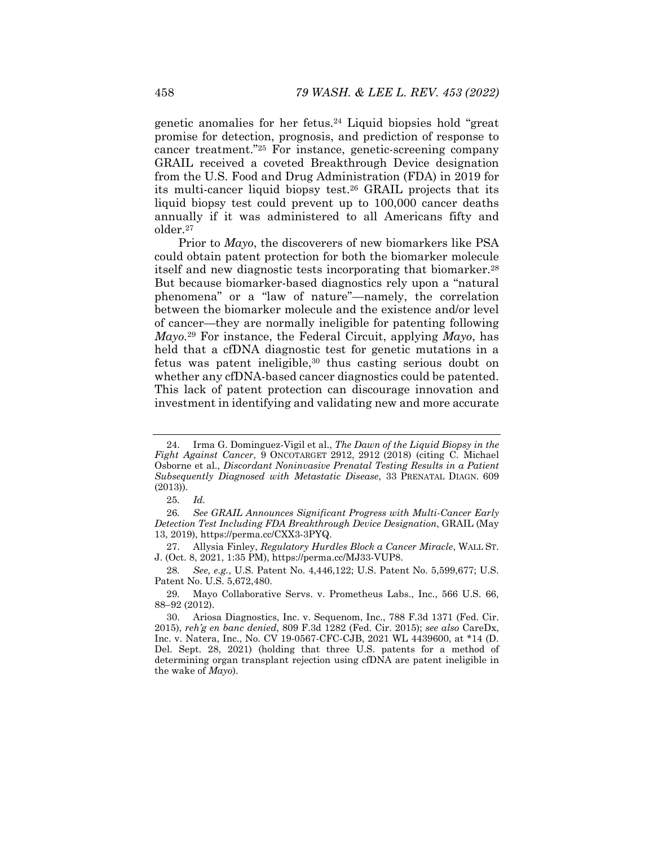genetic anomalies for her fetus.24 Liquid biopsies hold "great promise for detection, prognosis, and prediction of response to cancer treatment."25 For instance, genetic-screening company GRAIL received a coveted Breakthrough Device designation from the U.S. Food and Drug Administration (FDA) in 2019 for its multi-cancer liquid biopsy test.26 GRAIL projects that its liquid biopsy test could prevent up to 100,000 cancer deaths annually if it was administered to all Americans fifty and older.27

Prior to *Mayo*, the discoverers of new biomarkers like PSA could obtain patent protection for both the biomarker molecule itself and new diagnostic tests incorporating that biomarker.28 But because biomarker-based diagnostics rely upon a "natural phenomena" or a "law of nature"—namely, the correlation between the biomarker molecule and the existence and/or level of cancer—they are normally ineligible for patenting following *Mayo.*29 For instance, the Federal Circuit, applying *Mayo*, has held that a cfDNA diagnostic test for genetic mutations in a fetus was patent ineligible,30 thus casting serious doubt on whether any cfDNA-based cancer diagnostics could be patented. This lack of patent protection can discourage innovation and investment in identifying and validating new and more accurate

 <sup>24.</sup> Irma G. Dominguez-Vigil et al., *The Dawn of the Liquid Biopsy in the Fight Against Cancer*, 9 ONCOTARGET 2912, 2912 (2018) (citing C. Michael Osborne et al., *Discordant Noninvasive Prenatal Testing Results in a Patient Subsequently Diagnosed with Metastatic Disease*, 33 PRENATAL DIAGN. 609 (2013)).

<sup>25</sup>*. Id.*

<sup>26</sup>*. See GRAIL Announces Significant Progress with Multi-Cancer Early Detection Test Including FDA Breakthrough Device Designation*, GRAIL (May 13, 2019), https://perma.cc/CXX3-3PYQ.

 <sup>27.</sup> Allysia Finley, *Regulatory Hurdles Block a Cancer Miracle*, WALL ST. J. (Oct. 8, 2021, 1:35 PM), https://perma.cc/MJ33-VUP8.

<sup>28</sup>*. See, e.g.*, U.S. Patent No. 4,446,122; U.S. Patent No. 5,599,677; U.S. Patent No. U.S. 5,672,480.

<sup>29</sup>*.* Mayo Collaborative Servs. v. Prometheus Labs., Inc., 566 U.S. 66, 88–92 (2012).

 <sup>30.</sup> Ariosa Diagnostics, Inc. v. Sequenom, Inc., 788 F.3d 1371 (Fed. Cir. 2015), *reh'g en banc denied*, 809 F.3d 1282 (Fed. Cir. 2015); *see also* CareDx, Inc. v. Natera, Inc., No. CV 19-0567-CFC-CJB, 2021 WL 4439600, at \*14 (D. Del. Sept. 28, 2021) (holding that three U.S. patents for a method of determining organ transplant rejection using cfDNA are patent ineligible in the wake of *Mayo*).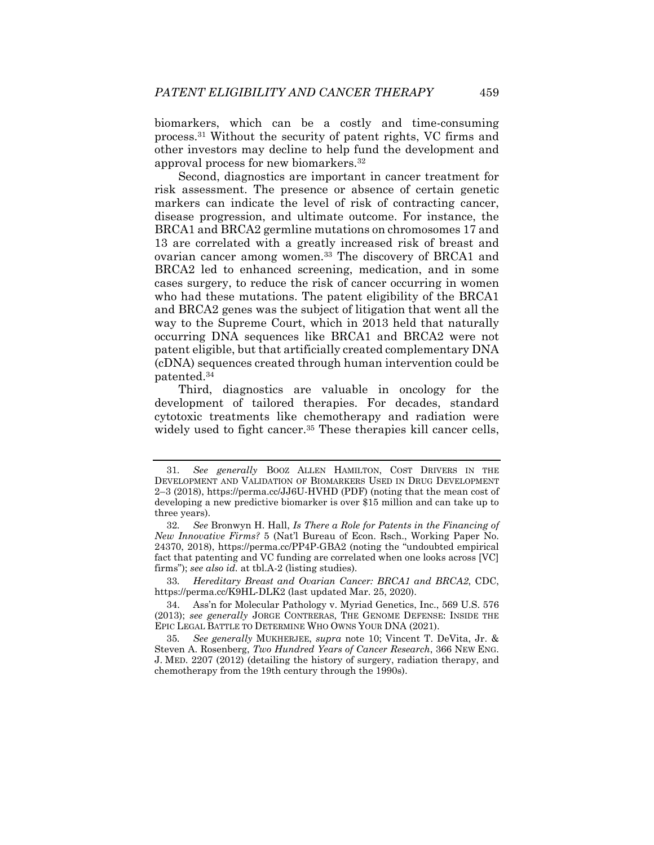biomarkers, which can be a costly and time-consuming process.31 Without the security of patent rights, VC firms and other investors may decline to help fund the development and approval process for new biomarkers.32

Second, diagnostics are important in cancer treatment for risk assessment. The presence or absence of certain genetic markers can indicate the level of risk of contracting cancer, disease progression, and ultimate outcome. For instance, the BRCA1 and BRCA2 germline mutations on chromosomes 17 and 13 are correlated with a greatly increased risk of breast and ovarian cancer among women.<sup>33</sup> The discovery of BRCA1 and BRCA2 led to enhanced screening, medication, and in some cases surgery, to reduce the risk of cancer occurring in women who had these mutations. The patent eligibility of the BRCA1 and BRCA2 genes was the subject of litigation that went all the way to the Supreme Court, which in 2013 held that naturally occurring DNA sequences like BRCA1 and BRCA2 were not patent eligible, but that artificially created complementary DNA (cDNA) sequences created through human intervention could be patented.34

Third, diagnostics are valuable in oncology for the development of tailored therapies. For decades, standard cytotoxic treatments like chemotherapy and radiation were widely used to fight cancer.<sup>35</sup> These therapies kill cancer cells,

<sup>31</sup>*. See generally* BOOZ ALLEN HAMILTON, COST DRIVERS IN THE DEVELOPMENT AND VALIDATION OF BIOMARKERS USED IN DRUG DEVELOPMENT 2–3 (2018), https://perma.cc/JJ6U-HVHD (PDF) (noting that the mean cost of developing a new predictive biomarker is over \$15 million and can take up to three years).

<sup>32</sup>*. See* Bronwyn H. Hall, *Is There a Role for Patents in the Financing of New Innovative Firms?* 5 (Nat'l Bureau of Econ. Rsch., Working Paper No. 24370, 2018), https://perma.cc/PP4P-GBA2 (noting the "undoubted empirical fact that patenting and VC funding are correlated when one looks across [VC] firms"); *see also id.* at tbl.A-2 (listing studies).

<sup>33</sup>*. Hereditary Breast and Ovarian Cancer: BRCA1 and BRCA2*, CDC, https://perma.cc/K9HL-DLK2 (last updated Mar. 25, 2020).

 <sup>34.</sup> Ass'n for Molecular Pathology v. Myriad Genetics, Inc., 569 U.S. 576 (2013); *see generally* JORGE CONTRERAS, THE GENOME DEFENSE: INSIDE THE EPIC LEGAL BATTLE TO DETERMINE WHO OWNS YOUR DNA (2021).

<sup>35</sup>*. See generally* MUKHERJEE, *supra* note 10; Vincent T. DeVita, Jr. & Steven A. Rosenberg, *Two Hundred Years of Cancer Research*, 366 NEW ENG. J. MED. 2207 (2012) (detailing the history of surgery, radiation therapy, and chemotherapy from the 19th century through the 1990s).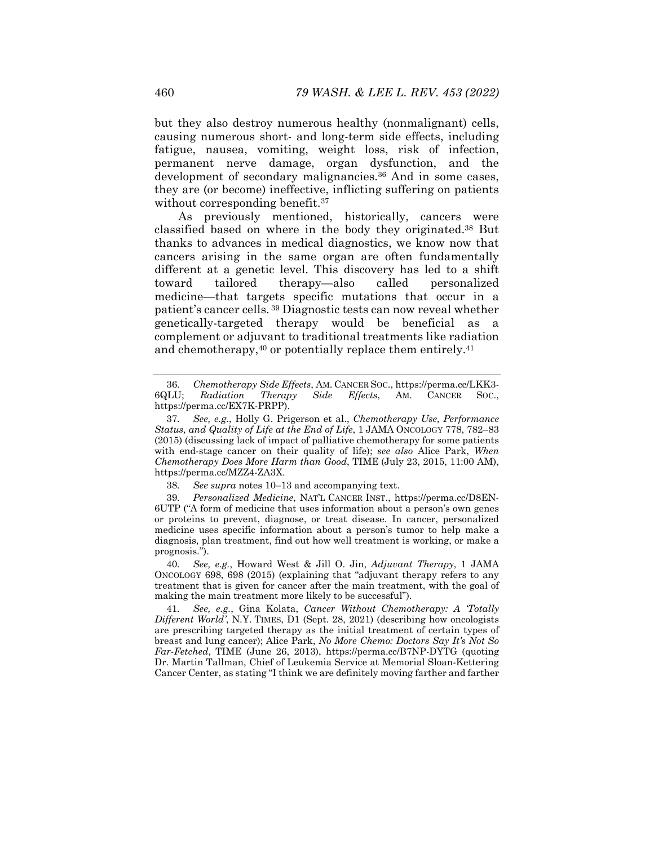but they also destroy numerous healthy (nonmalignant) cells, causing numerous short- and long-term side effects, including fatigue, nausea, vomiting, weight loss, risk of infection, permanent nerve damage, organ dysfunction, and the development of secondary malignancies.<sup>36</sup> And in some cases, they are (or become) ineffective, inflicting suffering on patients without corresponding benefit.<sup>37</sup>

As previously mentioned, historically, cancers were classified based on where in the body they originated.38 But thanks to advances in medical diagnostics, we know now that cancers arising in the same organ are often fundamentally different at a genetic level. This discovery has led to a shift toward tailored therapy—also called personalized medicine—that targets specific mutations that occur in a patient's cancer cells. 39 Diagnostic tests can now reveal whether genetically-targeted therapy would be beneficial as a complement or adjuvant to traditional treatments like radiation and chemotherapy, $40$  or potentially replace them entirely. $41$ 

38*. See supra* notes 10–13 and accompanying text.

39*. Personalized Medicine*, NAT'L CANCER INST., https://perma.cc/D8EN-6UTP ("A form of medicine that uses information about a person's own genes or proteins to prevent, diagnose, or treat disease. In cancer, personalized medicine uses specific information about a person's tumor to help make a diagnosis, plan treatment, find out how well treatment is working, or make a prognosis.").

40*. See, e.g.*, Howard West & Jill O. Jin, *Adjuvant Therapy*, 1 JAMA ONCOLOGY 698, 698 (2015) (explaining that "adjuvant therapy refers to any treatment that is given for cancer after the main treatment, with the goal of making the main treatment more likely to be successful").

41*. See, e.g.*, Gina Kolata, *Cancer Without Chemotherapy: A 'Totally Different World'*, N.Y. TIMES, D1 (Sept. 28, 2021) (describing how oncologists are prescribing targeted therapy as the initial treatment of certain types of breast and lung cancer); Alice Park, *No More Chemo: Doctors Say It's Not So Far-Fetched*, TIME (June 26, 2013), https://perma.cc/B7NP-DYTG (quoting Dr. Martin Tallman, Chief of Leukemia Service at Memorial Sloan-Kettering Cancer Center, as stating "I think we are definitely moving farther and farther

<sup>36</sup>*. Chemotherapy Side Effects*, AM. CANCER SOC., https://perma.cc/LKK3- 6QLU; *Radiation Therapy Side Effects*, AM. CANCER SOC., https://perma.cc/EX7K-PRPP).

<sup>37</sup>*. See, e.g.*, Holly G. Prigerson et al., *Chemotherapy Use, Performance Status, and Quality of Life at the End of Life*, 1 JAMA ONCOLOGY 778, 782–83 (2015) (discussing lack of impact of palliative chemotherapy for some patients with end-stage cancer on their quality of life); *see also* Alice Park, *When Chemotherapy Does More Harm than Good*, TIME (July 23, 2015, 11:00 AM), https://perma.cc/MZZ4-ZA3X.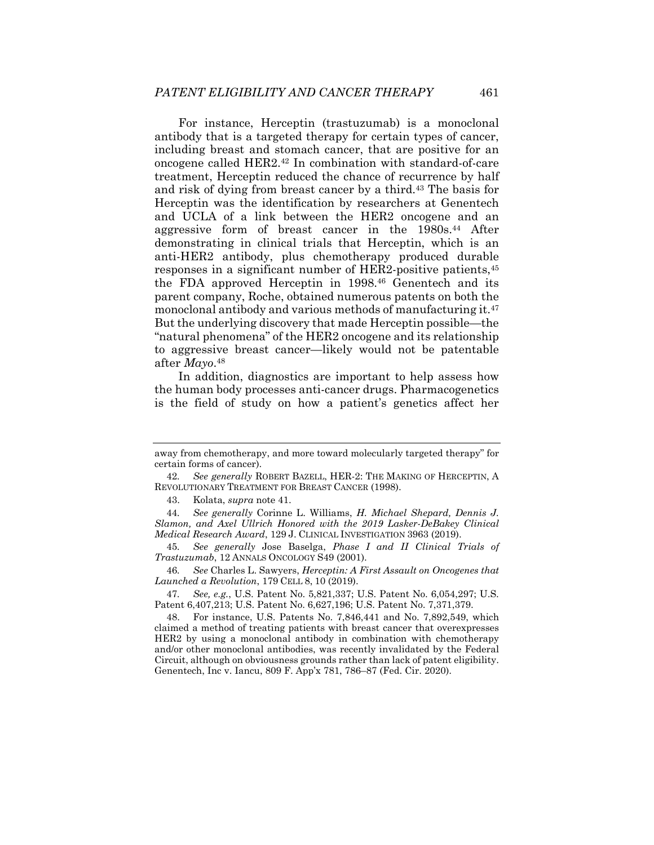For instance, Herceptin (trastuzumab) is a monoclonal antibody that is a targeted therapy for certain types of cancer, including breast and stomach cancer, that are positive for an oncogene called HER2.42 In combination with standard-of-care treatment, Herceptin reduced the chance of recurrence by half and risk of dying from breast cancer by a third.43 The basis for Herceptin was the identification by researchers at Genentech and UCLA of a link between the HER2 oncogene and an aggressive form of breast cancer in the 1980s.44 After demonstrating in clinical trials that Herceptin, which is an anti-HER2 antibody, plus chemotherapy produced durable responses in a significant number of HER2-positive patients,45 the FDA approved Herceptin in 1998.46 Genentech and its parent company, Roche, obtained numerous patents on both the monoclonal antibody and various methods of manufacturing it.47 But the underlying discovery that made Herceptin possible—the "natural phenomena" of the HER2 oncogene and its relationship to aggressive breast cancer—likely would not be patentable after *Mayo*.48

In addition, diagnostics are important to help assess how the human body processes anti-cancer drugs. Pharmacogenetics is the field of study on how a patient's genetics affect her

away from chemotherapy, and more toward molecularly targeted therapy" for certain forms of cancer).

<sup>42</sup>*. See generally* ROBERT BAZELL, HER-2: THE MAKING OF HERCEPTIN, A REVOLUTIONARY TREATMENT FOR BREAST CANCER (1998).

 <sup>43.</sup> Kolata, *supra* note 41.

<sup>44</sup>*. See generally* Corinne L. Williams, *H. Michael Shepard, Dennis J. Slamon, and Axel Ullrich Honored with the 2019 Lasker-DeBakey Clinical Medical Research Award*, 129 J. CLINICAL INVESTIGATION 3963 (2019).

<sup>45</sup>*. See generally* Jose Baselga, *Phase I and II Clinical Trials of Trastuzumab*, 12 ANNALS ONCOLOGY S49 (2001).

<sup>46</sup>*. See* Charles L. Sawyers, *Herceptin: A First Assault on Oncogenes that Launched a Revolution*, 179 CELL 8, 10 (2019).

<sup>47</sup>*. See, e.g.*, U.S. Patent No. 5,821,337; U.S. Patent No. 6,054,297; U.S. Patent 6,407,213; U.S. Patent No. 6,627,196; U.S. Patent No. 7,371,379.

 <sup>48.</sup> For instance, U.S. Patents No. 7,846,441 and No. 7,892,549, which claimed a method of treating patients with breast cancer that overexpresses HER2 by using a monoclonal antibody in combination with chemotherapy and/or other monoclonal antibodies, was recently invalidated by the Federal Circuit, although on obviousness grounds rather than lack of patent eligibility. Genentech, Inc v. Iancu, 809 F. App'x 781, 786–87 (Fed. Cir. 2020).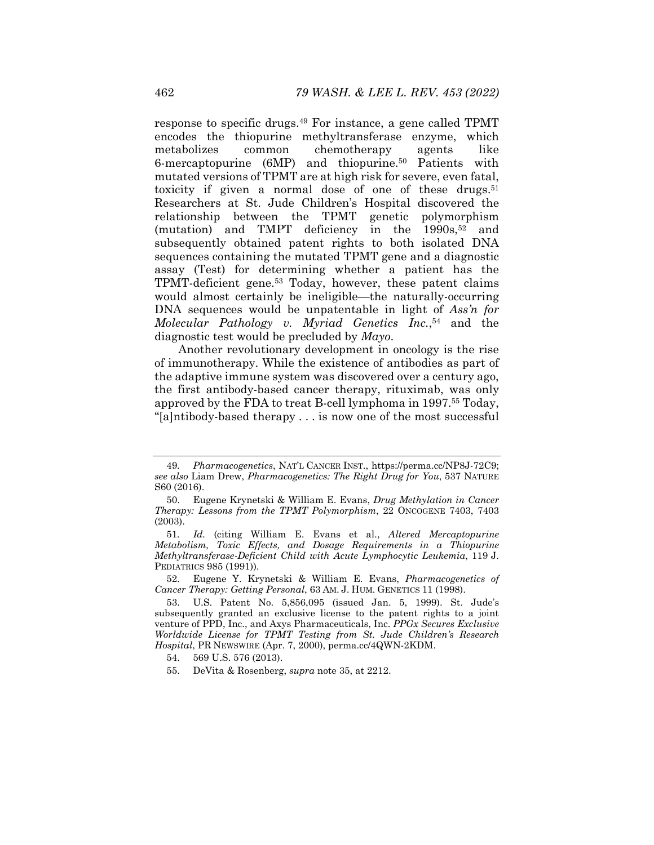response to specific drugs.49 For instance, a gene called TPMT encodes the thiopurine methyltransferase enzyme, which metabolizes common chemotherapy agents like 6-mercaptopurine (6MP) and thiopurine.50 Patients with mutated versions of TPMT are at high risk for severe, even fatal, toxicity if given a normal dose of one of these drugs.<sup>51</sup> Researchers at St. Jude Children's Hospital discovered the relationship between the TPMT genetic polymorphism (mutation) and TMPT deficiency in the  $1990s$ ,  $52$  and subsequently obtained patent rights to both isolated DNA sequences containing the mutated TPMT gene and a diagnostic assay (Test) for determining whether a patient has the TPMT-deficient gene.53 Today, however, these patent claims would almost certainly be ineligible—the naturally-occurring DNA sequences would be unpatentable in light of *Ass'n for Molecular Pathology v. Myriad Genetics Inc.*,54 and the diagnostic test would be precluded by *Mayo*.

Another revolutionary development in oncology is the rise of immunotherapy. While the existence of antibodies as part of the adaptive immune system was discovered over a century ago, the first antibody-based cancer therapy, rituximab, was only approved by the FDA to treat B-cell lymphoma in 1997.55 Today, "[a]ntibody-based therapy . . . is now one of the most successful

<sup>49</sup>*. Pharmacogenetics*, NAT'L CANCER INST., https://perma.cc/NP8J-72C9; *see also* Liam Drew, *Pharmacogenetics: The Right Drug for You*, 537 NATURE S60 (2016).

 <sup>50.</sup> Eugene Krynetski & William E. Evans, *Drug Methylation in Cancer Therapy: Lessons from the TPMT Polymorphism*, 22 ONCOGENE 7403, 7403 (2003).

<sup>51</sup>*. Id.* (citing William E. Evans et al., *Altered Mercaptopurine Metabolism, Toxic Effects, and Dosage Requirements in a Thiopurine Methyltransferase-Deficient Child with Acute Lymphocytic Leukemia*, 119 J. PEDIATRICS 985 (1991)).

 <sup>52.</sup> Eugene Y. Krynetski & William E. Evans, *Pharmacogenetics of Cancer Therapy: Getting Personal*, 63 AM. J. HUM. GENETICS 11 (1998).

 <sup>53.</sup> U.S. Patent No. 5,856,095 (issued Jan. 5, 1999). St. Jude's subsequently granted an exclusive license to the patent rights to a joint venture of PPD, Inc., and Axys Pharmaceuticals, Inc. *PPGx Secures Exclusive Worldwide License for TPMT Testing from St. Jude Children's Research Hospital*, PR NEWSWIRE (Apr. 7, 2000), perma.cc/4QWN-2KDM.

 <sup>54. 569</sup> U.S. 576 (2013).

 <sup>55.</sup> DeVita & Rosenberg, *supra* note 35, at 2212.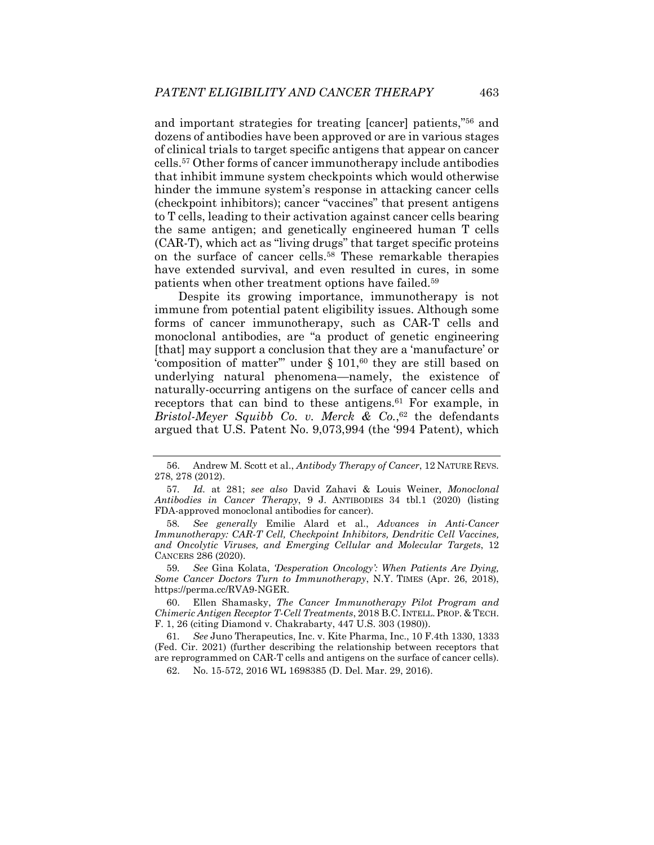and important strategies for treating [cancer] patients,"56 and dozens of antibodies have been approved or are in various stages of clinical trials to target specific antigens that appear on cancer cells.57 Other forms of cancer immunotherapy include antibodies that inhibit immune system checkpoints which would otherwise hinder the immune system's response in attacking cancer cells (checkpoint inhibitors); cancer "vaccines" that present antigens to T cells, leading to their activation against cancer cells bearing the same antigen; and genetically engineered human T cells (CAR-T), which act as "living drugs" that target specific proteins on the surface of cancer cells.58 These remarkable therapies have extended survival, and even resulted in cures, in some patients when other treatment options have failed.59

Despite its growing importance, immunotherapy is not immune from potential patent eligibility issues. Although some forms of cancer immunotherapy, such as CAR-T cells and monoclonal antibodies, are "a product of genetic engineering [that] may support a conclusion that they are a 'manufacture' or 'composition of matter'" under  $\S 101, ^{60}$  they are still based on underlying natural phenomena—namely, the existence of naturally-occurring antigens on the surface of cancer cells and receptors that can bind to these antigens.61 For example, in *Bristol-Meyer Squibb Co. v. Merck & Co.*, 62 the defendants argued that U.S. Patent No. 9,073,994 (the '994 Patent), which

58*. See generally* Emilie Alard et al., *Advances in Anti-Cancer Immunotherapy: CAR-T Cell, Checkpoint Inhibitors, Dendritic Cell Vaccines, and Oncolytic Viruses, and Emerging Cellular and Molecular Targets*, 12 CANCERS 286 (2020).

59*. See* Gina Kolata, *'Desperation Oncology': When Patients Are Dying, Some Cancer Doctors Turn to Immunotherapy*, N.Y. TIMES (Apr. 26, 2018), https://perma.cc/RVA9-NGER.

 60. Ellen Shamasky, *The Cancer Immunotherapy Pilot Program and Chimeric Antigen Receptor T-Cell Treatments*, 2018 B.C. INTELL. PROP. & TECH. F. 1, 26 (citing Diamond v. Chakrabarty, 447 U.S. 303 (1980)).

61*. See* Juno Therapeutics, Inc. v. Kite Pharma, Inc., 10 F.4th 1330, 1333 (Fed. Cir. 2021) (further describing the relationship between receptors that are reprogrammed on CAR-T cells and antigens on the surface of cancer cells).

62. No. 15-572, 2016 WL 1698385 (D. Del. Mar. 29, 2016).

 <sup>56.</sup> Andrew M. Scott et al., *Antibody Therapy of Cancer*, 12 NATURE REVS. 278, 278 (2012).

<sup>57</sup>*. Id.* at 281; *see also* David Zahavi & Louis Weiner, *Monoclonal Antibodies in Cancer Therapy*, 9 J. ANTIBODIES 34 tbl.1 (2020) (listing FDA-approved monoclonal antibodies for cancer).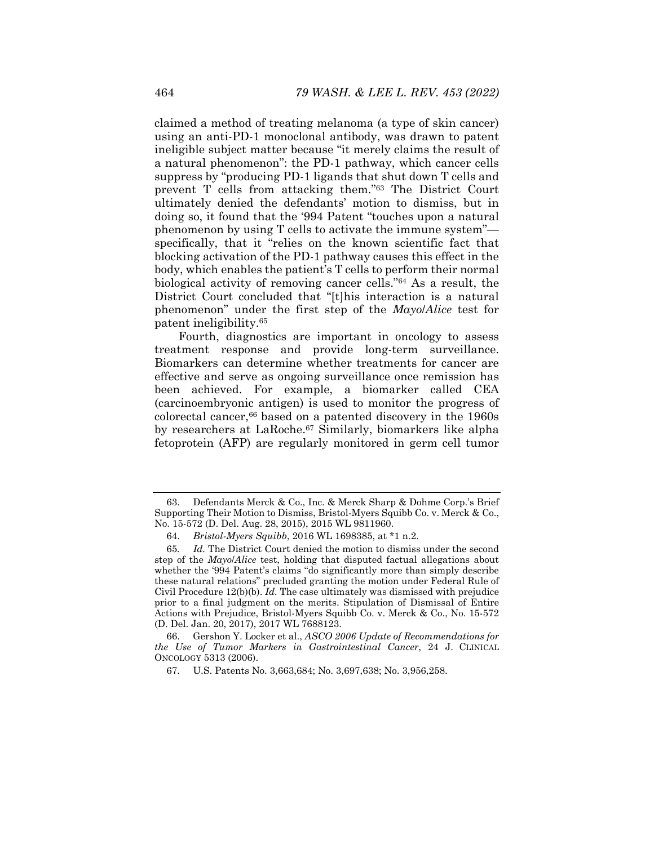claimed a method of treating melanoma (a type of skin cancer) using an anti-PD-1 monoclonal antibody, was drawn to patent ineligible subject matter because "it merely claims the result of a natural phenomenon": the PD-1 pathway, which cancer cells suppress by "producing PD-1 ligands that shut down T cells and prevent T cells from attacking them."63 The District Court ultimately denied the defendants' motion to dismiss, but in doing so, it found that the '994 Patent "touches upon a natural phenomenon by using T cells to activate the immune system" specifically, that it "relies on the known scientific fact that blocking activation of the PD-1 pathway causes this effect in the body, which enables the patient's T cells to perform their normal biological activity of removing cancer cells."64 As a result, the District Court concluded that "[t]his interaction is a natural phenomenon" under the first step of the *Mayo*/*Alice* test for patent ineligibility.65

Fourth, diagnostics are important in oncology to assess treatment response and provide long-term surveillance. Biomarkers can determine whether treatments for cancer are effective and serve as ongoing surveillance once remission has been achieved. For example, a biomarker called CEA (carcinoembryonic antigen) is used to monitor the progress of colorectal cancer,66 based on a patented discovery in the 1960s by researchers at LaRoche.67 Similarly, biomarkers like alpha fetoprotein (AFP) are regularly monitored in germ cell tumor

 66. Gershon Y. Locker et al., *ASCO 2006 Update of Recommendations for the Use of Tumor Markers in Gastrointestinal Cancer*, 24 J. CLINICAL ONCOLOGY 5313 (2006).

 <sup>63.</sup> Defendants Merck & Co., Inc. & Merck Sharp & Dohme Corp.'s Brief Supporting Their Motion to Dismiss, Bristol-Myers Squibb Co. v. Merck & Co., No. 15-572 (D. Del. Aug. 28, 2015), 2015 WL 9811960.

 <sup>64.</sup> *Bristol-Myers Squibb*, 2016 WL 1698385, at \*1 n.2.

<sup>65</sup>*. Id.* The District Court denied the motion to dismiss under the second step of the *Mayo*/*Alice* test, holding that disputed factual allegations about whether the '994 Patent's claims "do significantly more than simply describe these natural relations" precluded granting the motion under Federal Rule of Civil Procedure 12(b)(b). *Id.* The case ultimately was dismissed with prejudice prior to a final judgment on the merits. Stipulation of Dismissal of Entire Actions with Prejudice, Bristol-Myers Squibb Co. v. Merck & Co., No. 15-572 (D. Del. Jan. 20, 2017), 2017 WL 7688123.

 <sup>67.</sup> U.S. Patents No. 3,663,684; No. 3,697,638; No. 3,956,258.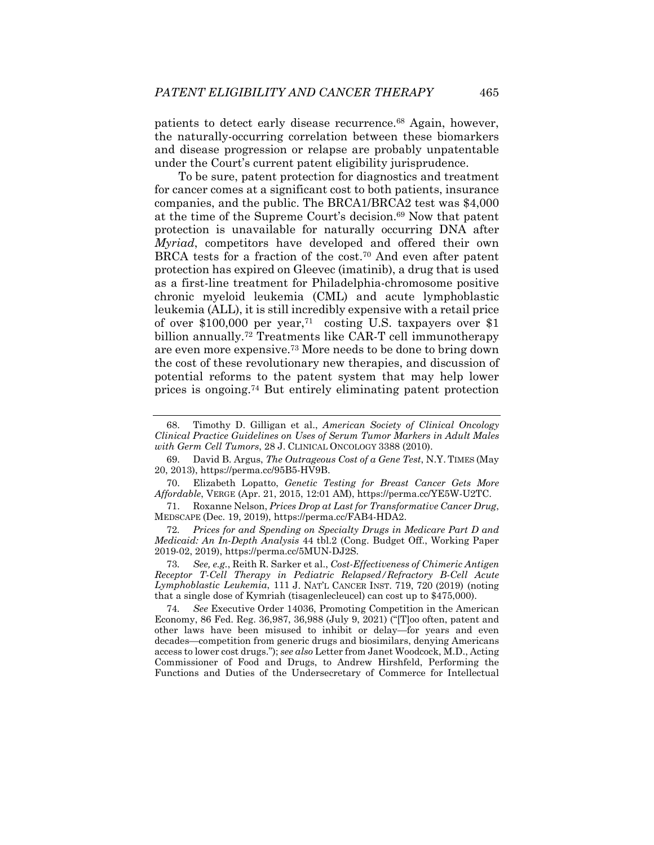patients to detect early disease recurrence.68 Again, however, the naturally-occurring correlation between these biomarkers and disease progression or relapse are probably unpatentable under the Court's current patent eligibility jurisprudence.

To be sure, patent protection for diagnostics and treatment for cancer comes at a significant cost to both patients, insurance companies, and the public. The BRCA1/BRCA2 test was \$4,000 at the time of the Supreme Court's decision.69 Now that patent protection is unavailable for naturally occurring DNA after *Myriad*, competitors have developed and offered their own BRCA tests for a fraction of the cost.<sup>70</sup> And even after patent protection has expired on Gleevec (imatinib), a drug that is used as a first-line treatment for Philadelphia-chromosome positive chronic myeloid leukemia (CML) and acute lymphoblastic leukemia (ALL), it is still incredibly expensive with a retail price of over \$100,000 per year,71 costing U.S. taxpayers over \$1 billion annually.<sup>72</sup> Treatments like CAR-T cell immunotherapy are even more expensive.73 More needs to be done to bring down the cost of these revolutionary new therapies, and discussion of potential reforms to the patent system that may help lower prices is ongoing.74 But entirely eliminating patent protection

 70. Elizabeth Lopatto, *Genetic Testing for Breast Cancer Gets More Affordable*, VERGE (Apr. 21, 2015, 12:01 AM), https://perma.cc/YE5W-U2TC.

 71. Roxanne Nelson, *Prices Drop at Last for Transformative Cancer Drug*, MEDSCAPE (Dec. 19, 2019), https://perma.cc/FAB4-HDA2.

72*. Prices for and Spending on Specialty Drugs in Medicare Part D and Medicaid: An In-Depth Analysis* 44 tbl.2 (Cong. Budget Off., Working Paper 2019-02, 2019), https://perma.cc/5MUN-DJ2S.

73*. See, e.g.*, Reith R. Sarker et al., *Cost-Effectiveness of Chimeric Antigen Receptor T-Cell Therapy in Pediatric Relapsed/Refractory B-Cell Acute Lymphoblastic Leukemia*, 111 J. NAT'L CANCER INST. 719, 720 (2019) (noting that a single dose of Kymriah (tisagenlecleucel) can cost up to \$475,000).

74*. See* Executive Order 14036, Promoting Competition in the American Economy, 86 Fed. Reg. 36,987, 36,988 (July 9, 2021) ("[T]oo often, patent and other laws have been misused to inhibit or delay—for years and even decades—competition from generic drugs and biosimilars, denying Americans access to lower cost drugs."); *see also* Letter from Janet Woodcock, M.D., Acting Commissioner of Food and Drugs, to Andrew Hirshfeld, Performing the Functions and Duties of the Undersecretary of Commerce for Intellectual

 <sup>68.</sup> Timothy D. Gilligan et al., *American Society of Clinical Oncology Clinical Practice Guidelines on Uses of Serum Tumor Markers in Adult Males with Germ Cell Tumors*, 28 J. CLINICAL ONCOLOGY 3388 (2010).

 <sup>69.</sup> David B. Argus, *The Outrageous Cost of a Gene Test*, N.Y. TIMES (May 20, 2013), https://perma.cc/95B5-HV9B.